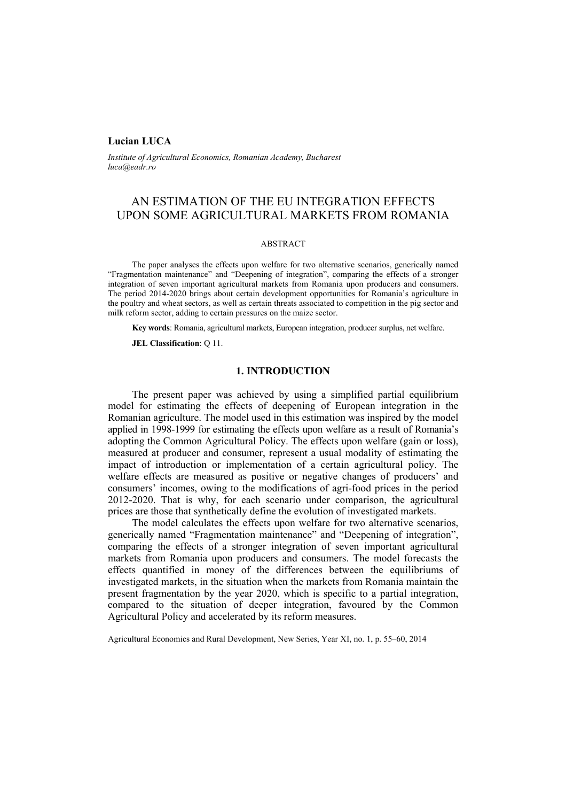# **Lucian LUCA**

*Institute of Agricultural Economics, Romanian Academy, Bucharest luca@eadr.ro* 

# AN ESTIMATION OF THE EU INTEGRATION EFFECTS UPON SOME AGRICULTURAL MARKETS FROM ROMANIA

## ABSTRACT

The paper analyses the effects upon welfare for two alternative scenarios, generically named "Fragmentation maintenance" and "Deepening of integration", comparing the effects of a stronger integration of seven important agricultural markets from Romania upon producers and consumers. The period 2014-2020 brings about certain development opportunities for Romania's agriculture in the poultry and wheat sectors, as well as certain threats associated to competition in the pig sector and milk reform sector, adding to certain pressures on the maize sector.

**Key words**: Romania, agricultural markets, European integration, producer surplus, net welfare.

**JEL Classification**: Q 11.

# **1. INTRODUCTION**

The present paper was achieved by using a simplified partial equilibrium model for estimating the effects of deepening of European integration in the Romanian agriculture. The model used in this estimation was inspired by the model applied in 1998-1999 for estimating the effects upon welfare as a result of Romania's adopting the Common Agricultural Policy. The effects upon welfare (gain or loss), measured at producer and consumer, represent a usual modality of estimating the impact of introduction or implementation of a certain agricultural policy. The welfare effects are measured as positive or negative changes of producers' and consumers' incomes, owing to the modifications of agri-food prices in the period 2012-2020. That is why, for each scenario under comparison, the agricultural prices are those that synthetically define the evolution of investigated markets.

The model calculates the effects upon welfare for two alternative scenarios, generically named "Fragmentation maintenance" and "Deepening of integration", comparing the effects of a stronger integration of seven important agricultural markets from Romania upon producers and consumers. The model forecasts the effects quantified in money of the differences between the equilibriums of investigated markets, in the situation when the markets from Romania maintain the present fragmentation by the year 2020, which is specific to a partial integration, compared to the situation of deeper integration, favoured by the Common Agricultural Policy and accelerated by its reform measures.

Agricultural Economics and Rural Development, New Series, Year XI, no. 1, p. 55–60, 2014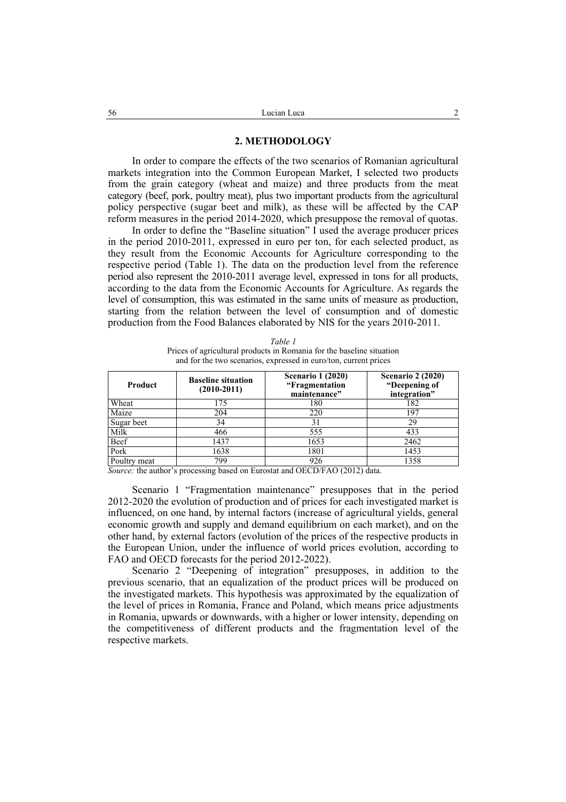#### **2. METHODOLOGY**

In order to compare the effects of the two scenarios of Romanian agricultural markets integration into the Common European Market, I selected two products from the grain category (wheat and maize) and three products from the meat category (beef, pork, poultry meat), plus two important products from the agricultural policy perspective (sugar beet and milk), as these will be affected by the CAP reform measures in the period 2014-2020, which presuppose the removal of quotas.

In order to define the "Baseline situation" I used the average producer prices in the period 2010-2011, expressed in euro per ton, for each selected product, as they result from the Economic Accounts for Agriculture corresponding to the respective period (Table 1). The data on the production level from the reference period also represent the 2010-2011 average level, expressed in tons for all products, according to the data from the Economic Accounts for Agriculture. As regards the level of consumption, this was estimated in the same units of measure as production, starting from the relation between the level of consumption and of domestic production from the Food Balances elaborated by NIS for the years 2010-2011.

| <b>Product</b> | <b>Baseline situation</b><br>$(2010-2011)$ | <b>Scenario 1 (2020)</b><br>"Fragmentation"<br>maintenance" | <b>Scenario 2 (2020)</b><br>"Deepening of<br>integration" |
|----------------|--------------------------------------------|-------------------------------------------------------------|-----------------------------------------------------------|
| Wheat          | 175                                        | 180                                                         | 182                                                       |
| Maize          | 204                                        | 220                                                         | 197                                                       |
| Sugar beet     | 34                                         | 31                                                          | 29                                                        |
| Milk           | 466                                        | 555                                                         | 433                                                       |
| Beef           | 1437                                       | 1653                                                        | 2462                                                      |
| Pork           | 1638                                       | 1801                                                        | 1453                                                      |
| Poultry meat   | 799                                        | 926                                                         | 1358                                                      |

*Table 1*  Prices of agricultural products in Romania for the baseline situation and for the two scenarios, expressed in euro/ton, current prices

*Source:* the author's processing based on Eurostat and OECD/FAO (2012) data.

Scenario 1 "Fragmentation maintenance" presupposes that in the period 2012-2020 the evolution of production and of prices for each investigated market is influenced, on one hand, by internal factors (increase of agricultural yields, general economic growth and supply and demand equilibrium on each market), and on the other hand, by external factors (evolution of the prices of the respective products in the European Union, under the influence of world prices evolution, according to FAO and OECD forecasts for the period 2012-2022).

Scenario 2 "Deepening of integration" presupposes, in addition to the previous scenario, that an equalization of the product prices will be produced on the investigated markets. This hypothesis was approximated by the equalization of the level of prices in Romania, France and Poland, which means price adjustments in Romania, upwards or downwards, with a higher or lower intensity, depending on the competitiveness of different products and the fragmentation level of the respective markets.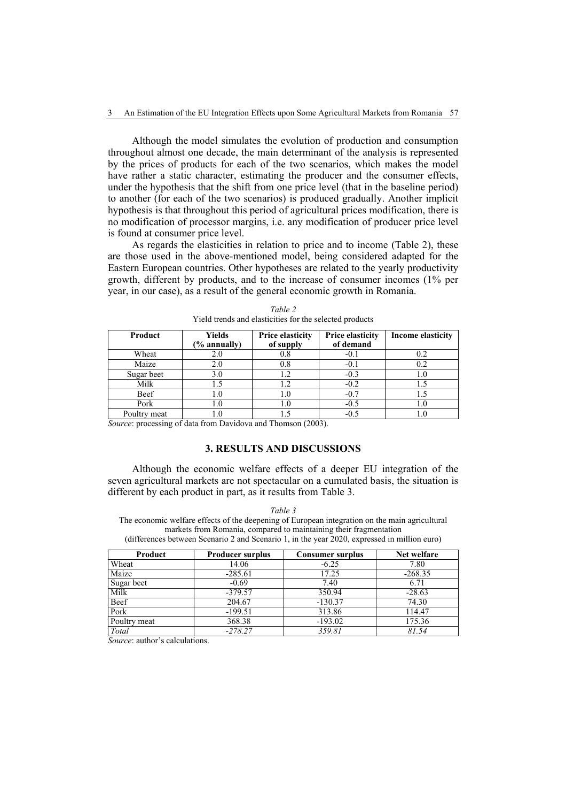Although the model simulates the evolution of production and consumption throughout almost one decade, the main determinant of the analysis is represented by the prices of products for each of the two scenarios, which makes the model have rather a static character, estimating the producer and the consumer effects, under the hypothesis that the shift from one price level (that in the baseline period) to another (for each of the two scenarios) is produced gradually. Another implicit hypothesis is that throughout this period of agricultural prices modification, there is no modification of processor margins, i.e. any modification of producer price level is found at consumer price level.

As regards the elasticities in relation to price and to income (Table 2), these are those used in the above-mentioned model, being considered adapted for the Eastern European countries. Other hypotheses are related to the yearly productivity growth, different by products, and to the increase of consumer incomes (1% per year, in our case), as a result of the general economic growth in Romania.

| Product      | <b>Yields</b> | <b>Price elasticity</b> | <b>Price elasticity</b> | <b>Income elasticity</b> |
|--------------|---------------|-------------------------|-------------------------|--------------------------|
|              | (% annually)  | of supply               | of demand               |                          |
| Wheat        | 2.0           | 0.8                     | $-0.1$                  | 0.2                      |
| Maize        | 2.0           | 0.8                     | $-0.1$                  | 0.2                      |
| Sugar beet   | 3.0           | 1.2                     | $-0.3$                  | 1.0                      |
| Milk         | 1.5           |                         | $-0.2$                  |                          |
| Beef         | 1.0           |                         | $-0.7$                  |                          |
| Pork         | 1.0           |                         | $-0.5$                  | 1.0                      |
| Poultry meat | .0            |                         | $-0.5$                  |                          |

*Table 2*  Yield trends and elasticities for the selected products

*Source*: processing of data from Davidova and Thomson (2003).

# **3. RESULTS AND DISCUSSIONS**

Although the economic welfare effects of a deeper EU integration of the seven agricultural markets are not spectacular on a cumulated basis, the situation is different by each product in part, as it results from Table 3.

#### *Table 3*

The economic welfare effects of the deepening of European integration on the main agricultural markets from Romania, compared to maintaining their fragmentation (differences between Scenario 2 and Scenario 1, in the year 2020, expressed in million euro)

| Product      | <b>Producer surplus</b> | <b>Consumer surplus</b> | Net welfare |
|--------------|-------------------------|-------------------------|-------------|
| Wheat        | 14.06                   | $-6.25$                 | 7.80        |
| Maize        | $-285.61$               | 17.25                   | $-268.35$   |
| Sugar beet   | $-0.69$                 | 7.40                    | 6.71        |
| Milk         | $-379.57$               | 350.94                  | $-28.63$    |
| Beef         | 204.67                  | $-130.37$               | 74.30       |
| Pork         | $-199.51$               | 313.86                  | 114.47      |
| Poultry meat | 368.38                  | $-193.02$               | 175.36      |
| Total        | $-278.27$               | 359.81                  | 81.54       |

*Source*: author's calculations.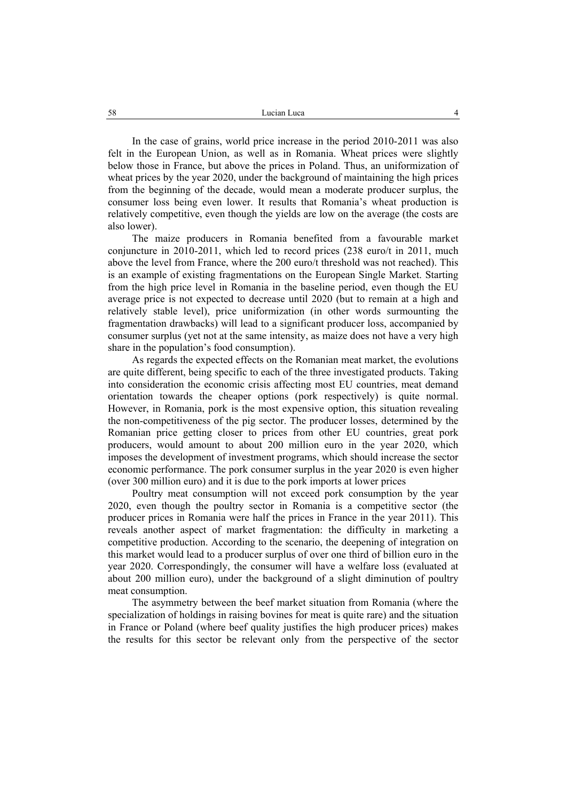In the case of grains, world price increase in the period 2010-2011 was also felt in the European Union, as well as in Romania. Wheat prices were slightly below those in France, but above the prices in Poland. Thus, an uniformization of wheat prices by the year 2020, under the background of maintaining the high prices from the beginning of the decade, would mean a moderate producer surplus, the consumer loss being even lower. It results that Romania's wheat production is relatively competitive, even though the yields are low on the average (the costs are also lower).

The maize producers in Romania benefited from a favourable market conjuncture in 2010-2011, which led to record prices (238 euro/t in 2011, much above the level from France, where the 200 euro/t threshold was not reached). This is an example of existing fragmentations on the European Single Market. Starting from the high price level in Romania in the baseline period, even though the EU average price is not expected to decrease until 2020 (but to remain at a high and relatively stable level), price uniformization (in other words surmounting the fragmentation drawbacks) will lead to a significant producer loss, accompanied by consumer surplus (yet not at the same intensity, as maize does not have a very high share in the population's food consumption).

As regards the expected effects on the Romanian meat market, the evolutions are quite different, being specific to each of the three investigated products. Taking into consideration the economic crisis affecting most EU countries, meat demand orientation towards the cheaper options (pork respectively) is quite normal. However, in Romania, pork is the most expensive option, this situation revealing the non-competitiveness of the pig sector. The producer losses, determined by the Romanian price getting closer to prices from other EU countries, great pork producers, would amount to about 200 million euro in the year 2020, which imposes the development of investment programs, which should increase the sector economic performance. The pork consumer surplus in the year 2020 is even higher (over 300 million euro) and it is due to the pork imports at lower prices

Poultry meat consumption will not exceed pork consumption by the year 2020, even though the poultry sector in Romania is a competitive sector (the producer prices in Romania were half the prices in France in the year 2011). This reveals another aspect of market fragmentation: the difficulty in marketing a competitive production. According to the scenario, the deepening of integration on this market would lead to a producer surplus of over one third of billion euro in the year 2020. Correspondingly, the consumer will have a welfare loss (evaluated at about 200 million euro), under the background of a slight diminution of poultry meat consumption.

The asymmetry between the beef market situation from Romania (where the specialization of holdings in raising bovines for meat is quite rare) and the situation in France or Poland (where beef quality justifies the high producer prices) makes the results for this sector be relevant only from the perspective of the sector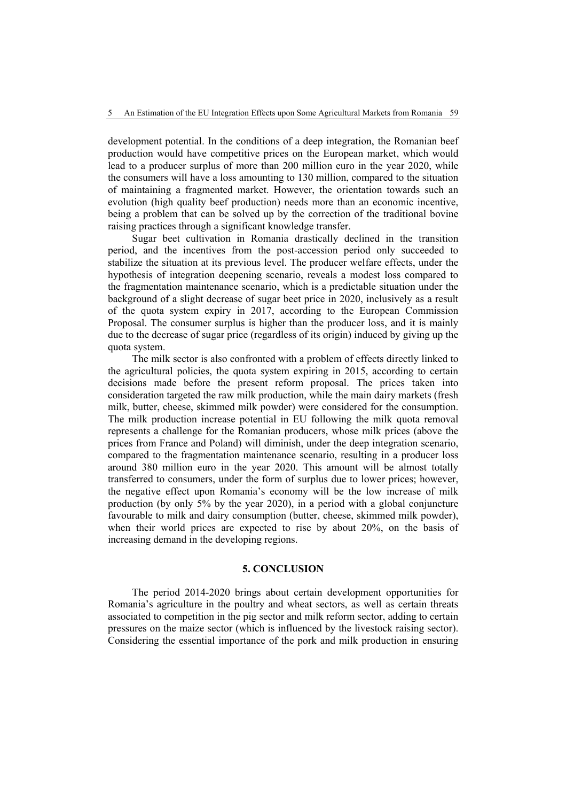development potential. In the conditions of a deep integration, the Romanian beef production would have competitive prices on the European market, which would lead to a producer surplus of more than 200 million euro in the year 2020, while the consumers will have a loss amounting to 130 million, compared to the situation of maintaining a fragmented market. However, the orientation towards such an evolution (high quality beef production) needs more than an economic incentive, being a problem that can be solved up by the correction of the traditional bovine raising practices through a significant knowledge transfer.

Sugar beet cultivation in Romania drastically declined in the transition period, and the incentives from the post-accession period only succeeded to stabilize the situation at its previous level. The producer welfare effects, under the hypothesis of integration deepening scenario, reveals a modest loss compared to the fragmentation maintenance scenario, which is a predictable situation under the background of a slight decrease of sugar beet price in 2020, inclusively as a result of the quota system expiry in 2017, according to the European Commission Proposal. The consumer surplus is higher than the producer loss, and it is mainly due to the decrease of sugar price (regardless of its origin) induced by giving up the quota system.

The milk sector is also confronted with a problem of effects directly linked to the agricultural policies, the quota system expiring in 2015, according to certain decisions made before the present reform proposal. The prices taken into consideration targeted the raw milk production, while the main dairy markets (fresh milk, butter, cheese, skimmed milk powder) were considered for the consumption. The milk production increase potential in EU following the milk quota removal represents a challenge for the Romanian producers, whose milk prices (above the prices from France and Poland) will diminish, under the deep integration scenario, compared to the fragmentation maintenance scenario, resulting in a producer loss around 380 million euro in the year 2020. This amount will be almost totally transferred to consumers, under the form of surplus due to lower prices; however, the negative effect upon Romania's economy will be the low increase of milk production (by only 5% by the year 2020), in a period with a global conjuncture favourable to milk and dairy consumption (butter, cheese, skimmed milk powder), when their world prices are expected to rise by about 20%, on the basis of increasing demand in the developing regions.

# **5. CONCLUSION**

The period 2014-2020 brings about certain development opportunities for Romania's agriculture in the poultry and wheat sectors, as well as certain threats associated to competition in the pig sector and milk reform sector, adding to certain pressures on the maize sector (which is influenced by the livestock raising sector). Considering the essential importance of the pork and milk production in ensuring